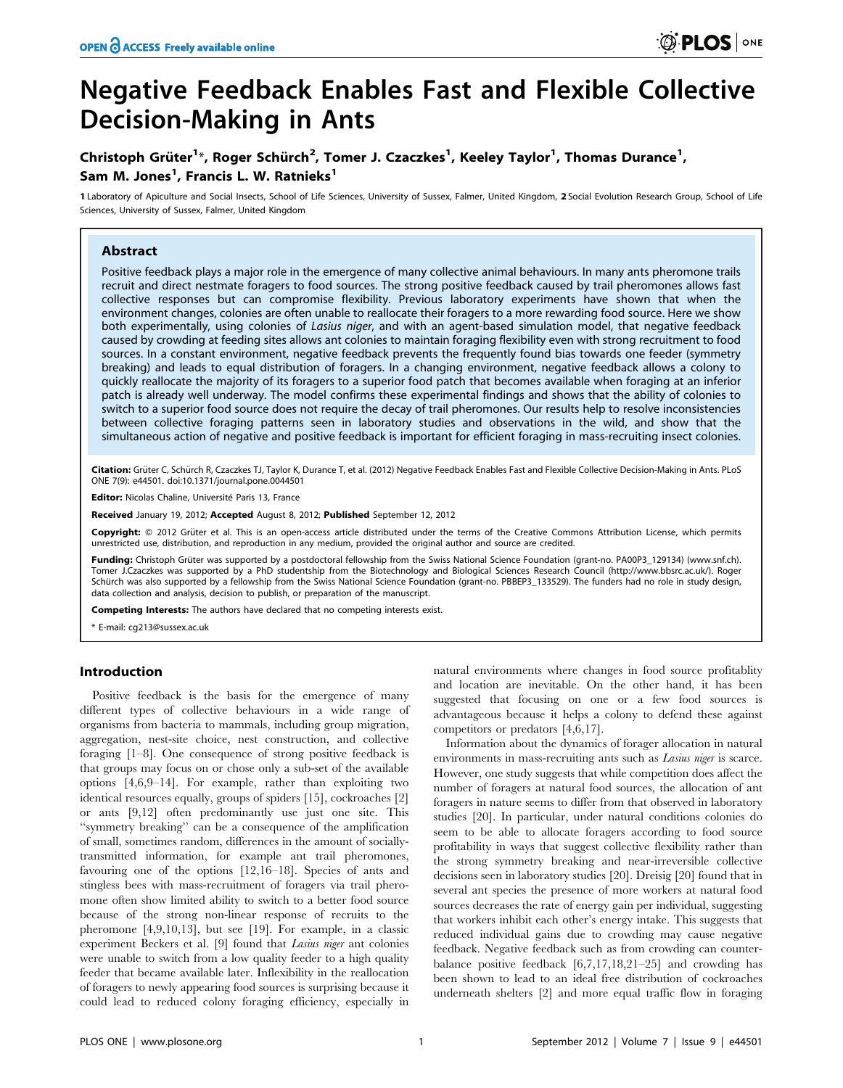# Negative Feedback Enables Fast and Flexible Collective Decision-Making in Ants

# Christoph Grüter<sup>1</sup>\*, Roger Schürch<sup>2</sup>, Tomer J. Czaczkes<sup>1</sup>, Keeley Taylor<sup>1</sup>, Thomas Durance<sup>1</sup>, Sam M. Jones<sup>1</sup>, Francis L. W. Ratnieks<sup>1</sup>

1 Laboratory of Apiculture and Social Insects, School of Life Sciences, University of Sussex, Falmer, United Kingdom, 2 Social Evolution Research Group, School of Life Sciences, University of Sussex, Falmer, United Kingdom

# Abstract

Positive feedback plays a major role in the emergence of many collective animal behaviours. In many ants pheromone trails recruit and direct nestmate foragers to food sources. The strong positive feedback caused by trail pheromones allows fast collective responses but can compromise flexibility. Previous laboratory experiments have shown that when the environment changes, colonies are often unable to reallocate their foragers to a more rewarding food source. Here we show both experimentally, using colonies of Lasius niger, and with an agent-based simulation model, that negative feedback caused by crowding at feeding sites allows ant colonies to maintain foraging flexibility even with strong recruitment to food sources. In a constant environment, negative feedback prevents the frequently found bias towards one feeder (symmetry breaking) and leads to equal distribution of foragers. In a changing environment, negative feedback allows a colony to quickly reallocate the majority of its foragers to a superior food patch that becomes available when foraging at an inferior patch is already well underway. The model confirms these experimental findings and shows that the ability of colonies to switch to a superior food source does not require the decay of trail pheromones. Our results help to resolve inconsistencies between collective foraging patterns seen in laboratory studies and observations in the wild, and show that the simultaneous action of negative and positive feedback is important for efficient foraging in mass-recruiting insect colonies.

Citation: Grüter C, Schürch R, Czaczkes TJ, Taylor K, Durance T, et al. (2012) Negative Feedback Enables Fast and Flexible Collective Decision-Making in Ants. PLoS ONE 7(9): e44501. doi:10.1371/journal.pone.0044501

Editor: Nicolas Chaline, Université Paris 13, France

Received January 19, 2012; Accepted August 8, 2012; Published September 12, 2012

Copyright: © 2012 Grüter et al. This is an open-access article distributed under the terms of the Creative Commons Attribution License, which permits unrestricted use, distribution, and reproduction in any medium, provided the original author and source are credited.

Funding: Christoph Grüter was supported by a postdoctoral fellowship from the Swiss National Science Foundation (grant-no. PA00P3\_129134) (www.snf.ch). Tomer J.Czaczkes was supported by a PhD studentship from the Biotechnology and Biological Sciences Research Council (http://www.bbsrc.ac.uk/). Roger Schürch was also supported by a fellowship from the Swiss National Science Foundation (grant-no. PBBEP3\_133529). The funders had no role in study design, data collection and analysis, decision to publish, or preparation of the manuscript.

Competing Interests: The authors have declared that no competing interests exist.

\* E-mail: cg213@sussex.ac.uk

# Introduction

Positive feedback is the basis for the emergence of many different types of collective behaviours in a wide range of organisms from bacteria to mammals, including group migration, aggregation, nest-site choice, nest construction, and collective foraging [1–8]. One consequence of strong positive feedback is that groups may focus on or chose only a sub-set of the available options [4,6,9–14]. For example, rather than exploiting two identical resources equally, groups of spiders [15], cockroaches [2] or ants [9,12] often predominantly use just one site. This ''symmetry breaking'' can be a consequence of the amplification of small, sometimes random, differences in the amount of sociallytransmitted information, for example ant trail pheromones, favouring one of the options [12,16–18]. Species of ants and stingless bees with mass-recruitment of foragers via trail pheromone often show limited ability to switch to a better food source because of the strong non-linear response of recruits to the pheromone [4,9,10,13], but see [19]. For example, in a classic experiment Beckers et al. [9] found that Lasius niger ant colonies were unable to switch from a low quality feeder to a high quality feeder that became available later. Inflexibility in the reallocation of foragers to newly appearing food sources is surprising because it could lead to reduced colony foraging efficiency, especially in

natural environments where changes in food source profitablity and location are inevitable. On the other hand, it has been suggested that focusing on one or a few food sources is advantageous because it helps a colony to defend these against competitors or predators [4,6,17].

Information about the dynamics of forager allocation in natural environments in mass-recruiting ants such as Lasius niger is scarce. However, one study suggests that while competition does affect the number of foragers at natural food sources, the allocation of ant foragers in nature seems to differ from that observed in laboratory studies [20]. In particular, under natural conditions colonies do seem to be able to allocate foragers according to food source profitability in ways that suggest collective flexibility rather than the strong symmetry breaking and near-irreversible collective decisions seen in laboratory studies [20]. Dreisig [20] found that in several ant species the presence of more workers at natural food sources decreases the rate of energy gain per individual, suggesting that workers inhibit each other's energy intake. This suggests that reduced individual gains due to crowding may cause negative feedback. Negative feedback such as from crowding can counterbalance positive feedback [6,7,17,18,21–25] and crowding has been shown to lead to an ideal free distribution of cockroaches underneath shelters [2] and more equal traffic flow in foraging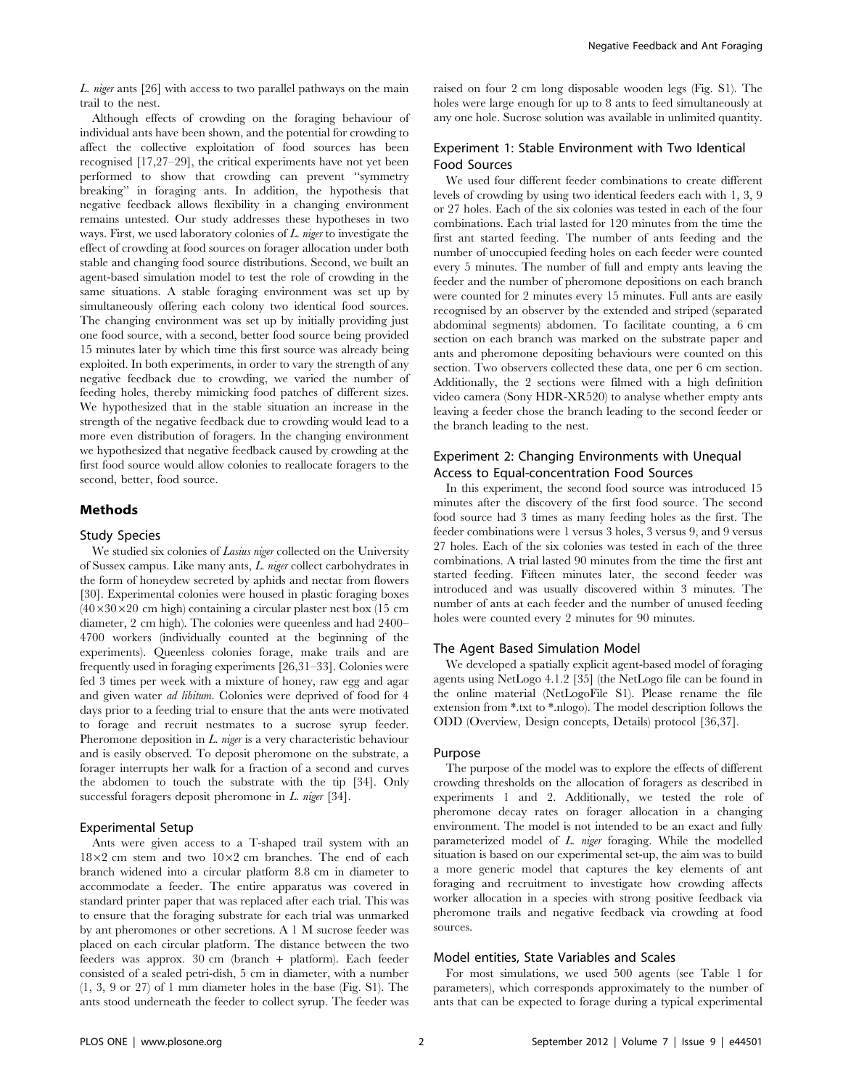L. niger ants [26] with access to two parallel pathways on the main trail to the nest.

Although effects of crowding on the foraging behaviour of individual ants have been shown, and the potential for crowding to affect the collective exploitation of food sources has been recognised [17,27–29], the critical experiments have not yet been performed to show that crowding can prevent ''symmetry breaking'' in foraging ants. In addition, the hypothesis that negative feedback allows flexibility in a changing environment remains untested. Our study addresses these hypotheses in two ways. First, we used laboratory colonies of L. niger to investigate the effect of crowding at food sources on forager allocation under both stable and changing food source distributions. Second, we built an agent-based simulation model to test the role of crowding in the same situations. A stable foraging environment was set up by simultaneously offering each colony two identical food sources. The changing environment was set up by initially providing just one food source, with a second, better food source being provided 15 minutes later by which time this first source was already being exploited. In both experiments, in order to vary the strength of any negative feedback due to crowding, we varied the number of feeding holes, thereby mimicking food patches of different sizes. We hypothesized that in the stable situation an increase in the strength of the negative feedback due to crowding would lead to a more even distribution of foragers. In the changing environment we hypothesized that negative feedback caused by crowding at the first food source would allow colonies to reallocate foragers to the second, better, food source.

# Methods

#### Study Species

We studied six colonies of *Lasius niger* collected on the University of Sussex campus. Like many ants, L. niger collect carbohydrates in the form of honeydew secreted by aphids and nectar from flowers [30]. Experimental colonies were housed in plastic foraging boxes  $(40\times30\times20$  cm high) containing a circular plaster nest box (15 cm diameter, 2 cm high). The colonies were queenless and had 2400– 4700 workers (individually counted at the beginning of the experiments). Queenless colonies forage, make trails and are frequently used in foraging experiments [26,31–33]. Colonies were fed 3 times per week with a mixture of honey, raw egg and agar and given water ad libitum. Colonies were deprived of food for 4 days prior to a feeding trial to ensure that the ants were motivated to forage and recruit nestmates to a sucrose syrup feeder. Pheromone deposition in  $L$  *niger* is a very characteristic behaviour and is easily observed. To deposit pheromone on the substrate, a forager interrupts her walk for a fraction of a second and curves the abdomen to touch the substrate with the tip [34]. Only successful foragers deposit pheromone in L. niger [34].

#### Experimental Setup

Ants were given access to a T-shaped trail system with an  $18\times2$  cm stem and two  $10\times2$  cm branches. The end of each branch widened into a circular platform 8.8 cm in diameter to accommodate a feeder. The entire apparatus was covered in standard printer paper that was replaced after each trial. This was to ensure that the foraging substrate for each trial was unmarked by ant pheromones or other secretions. A 1 M sucrose feeder was placed on each circular platform. The distance between the two feeders was approx. 30 cm (branch + platform). Each feeder consisted of a sealed petri-dish, 5 cm in diameter, with a number (1, 3, 9 or 27) of 1 mm diameter holes in the base (Fig. S1). The ants stood underneath the feeder to collect syrup. The feeder was raised on four 2 cm long disposable wooden legs (Fig. S1). The holes were large enough for up to 8 ants to feed simultaneously at any one hole. Sucrose solution was available in unlimited quantity.

# Experiment 1: Stable Environment with Two Identical Food Sources

We used four different feeder combinations to create different levels of crowding by using two identical feeders each with 1, 3, 9 or 27 holes. Each of the six colonies was tested in each of the four combinations. Each trial lasted for 120 minutes from the time the first ant started feeding. The number of ants feeding and the number of unoccupied feeding holes on each feeder were counted every 5 minutes. The number of full and empty ants leaving the feeder and the number of pheromone depositions on each branch were counted for 2 minutes every 15 minutes. Full ants are easily recognised by an observer by the extended and striped (separated abdominal segments) abdomen. To facilitate counting, a 6 cm section on each branch was marked on the substrate paper and ants and pheromone depositing behaviours were counted on this section. Two observers collected these data, one per 6 cm section. Additionally, the 2 sections were filmed with a high definition video camera (Sony HDR-XR520) to analyse whether empty ants leaving a feeder chose the branch leading to the second feeder or the branch leading to the nest.

# Experiment 2: Changing Environments with Unequal Access to Equal-concentration Food Sources

In this experiment, the second food source was introduced 15 minutes after the discovery of the first food source. The second food source had 3 times as many feeding holes as the first. The feeder combinations were 1 versus 3 holes, 3 versus 9, and 9 versus 27 holes. Each of the six colonies was tested in each of the three combinations. A trial lasted 90 minutes from the time the first ant started feeding. Fifteen minutes later, the second feeder was introduced and was usually discovered within 3 minutes. The number of ants at each feeder and the number of unused feeding holes were counted every 2 minutes for 90 minutes.

#### The Agent Based Simulation Model

We developed a spatially explicit agent-based model of foraging agents using NetLogo 4.1.2 [35] (the NetLogo file can be found in the online material (NetLogoFile S1). Please rename the file extension from \*.txt to \*.nlogo). The model description follows the ODD (Overview, Design concepts, Details) protocol [36,37].

#### Purpose

The purpose of the model was to explore the effects of different crowding thresholds on the allocation of foragers as described in experiments 1 and 2. Additionally, we tested the role of pheromone decay rates on forager allocation in a changing environment. The model is not intended to be an exact and fully parameterized model of L. niger foraging. While the modelled situation is based on our experimental set-up, the aim was to build a more generic model that captures the key elements of ant foraging and recruitment to investigate how crowding affects worker allocation in a species with strong positive feedback via pheromone trails and negative feedback via crowding at food sources.

#### Model entities, State Variables and Scales

For most simulations, we used 500 agents (see Table 1 for parameters), which corresponds approximately to the number of ants that can be expected to forage during a typical experimental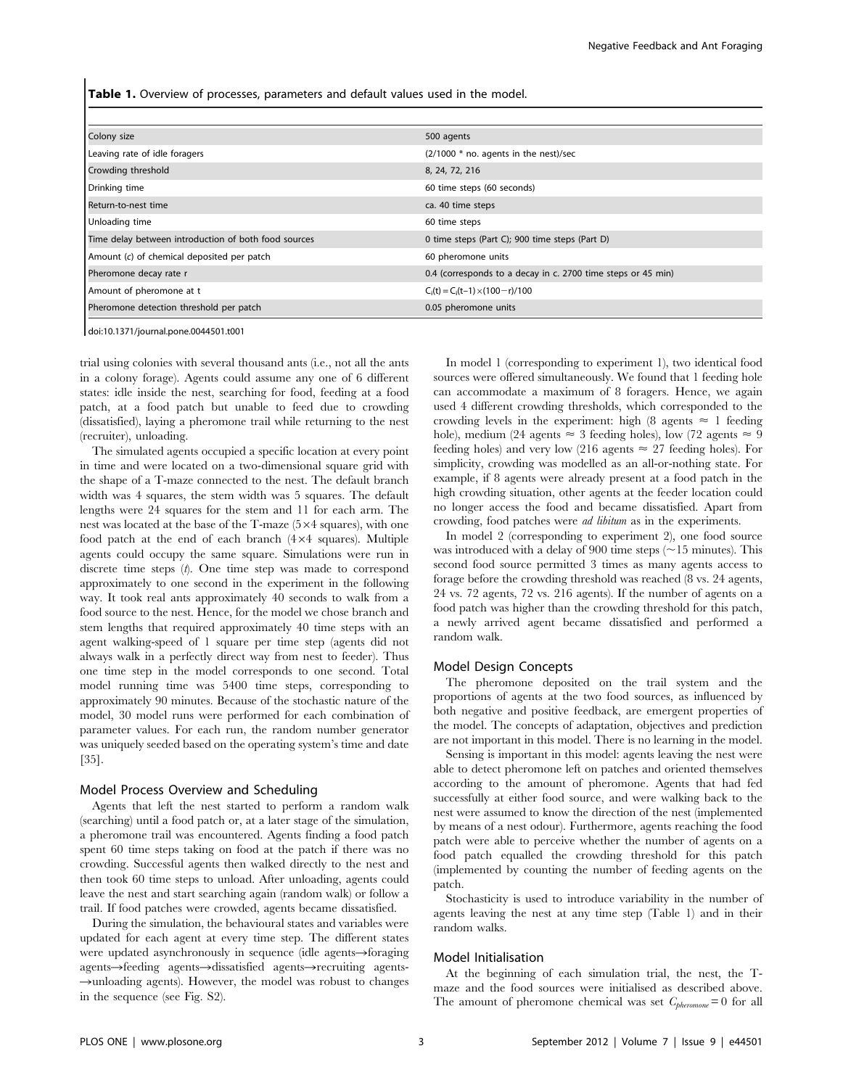Table 1. Overview of processes, parameters and default values used in the model.

| Colony size                                          | 500 agents                                                   |  |
|------------------------------------------------------|--------------------------------------------------------------|--|
| Leaving rate of idle foragers                        | $(2/1000 * no.$ agents in the nest)/sec                      |  |
| Crowding threshold                                   | 8, 24, 72, 216                                               |  |
| Drinking time                                        | 60 time steps (60 seconds)                                   |  |
| Return-to-nest time                                  | ca. 40 time steps                                            |  |
| Unloading time                                       | 60 time steps                                                |  |
| Time delay between introduction of both food sources | 0 time steps (Part C); 900 time steps (Part D)               |  |
| Amount (c) of chemical deposited per patch           | 60 pheromone units                                           |  |
| Pheromone decay rate r                               | 0.4 (corresponds to a decay in c. 2700 time steps or 45 min) |  |
| Amount of pheromone at t                             | $C_i(t) = C_i(t-1) \times (100-r)/100$                       |  |
| Pheromone detection threshold per patch              | 0.05 pheromone units                                         |  |

doi:10.1371/journal.pone.0044501.t001

trial using colonies with several thousand ants (i.e., not all the ants in a colony forage). Agents could assume any one of 6 different states: idle inside the nest, searching for food, feeding at a food patch, at a food patch but unable to feed due to crowding (dissatisfied), laying a pheromone trail while returning to the nest (recruiter), unloading.

The simulated agents occupied a specific location at every point in time and were located on a two-dimensional square grid with the shape of a T-maze connected to the nest. The default branch width was 4 squares, the stem width was 5 squares. The default lengths were 24 squares for the stem and 11 for each arm. The nest was located at the base of the T-maze  $(5\times4)$  squares), with one food patch at the end of each branch  $(4\times4)$  squares). Multiple agents could occupy the same square. Simulations were run in discrete time steps  $(t)$ . One time step was made to correspond approximately to one second in the experiment in the following way. It took real ants approximately 40 seconds to walk from a food source to the nest. Hence, for the model we chose branch and stem lengths that required approximately 40 time steps with an agent walking-speed of 1 square per time step (agents did not always walk in a perfectly direct way from nest to feeder). Thus one time step in the model corresponds to one second. Total model running time was 5400 time steps, corresponding to approximately 90 minutes. Because of the stochastic nature of the model, 30 model runs were performed for each combination of parameter values. For each run, the random number generator was uniquely seeded based on the operating system's time and date [35].

#### Model Process Overview and Scheduling

Agents that left the nest started to perform a random walk (searching) until a food patch or, at a later stage of the simulation, a pheromone trail was encountered. Agents finding a food patch spent 60 time steps taking on food at the patch if there was no crowding. Successful agents then walked directly to the nest and then took 60 time steps to unload. After unloading, agents could leave the nest and start searching again (random walk) or follow a trail. If food patches were crowded, agents became dissatisfied.

During the simulation, the behavioural states and variables were updated for each agent at every time step. The different states were updated asynchronously in sequence (idle agents $\rightarrow$ foraging agents->feeding agents->dissatisfied agents->recruiting agents- $\rightarrow$ unloading agents). However, the model was robust to changes in the sequence (see Fig. S2).

In model 1 (corresponding to experiment 1), two identical food sources were offered simultaneously. We found that 1 feeding hole can accommodate a maximum of 8 foragers. Hence, we again used 4 different crowding thresholds, which corresponded to the crowding levels in the experiment: high (8 agents  $\approx$  1 feeding hole), medium (24 agents  $\approx$  3 feeding holes), low (72 agents  $\approx$  9 feeding holes) and very low (216 agents  $\approx$  27 feeding holes). For simplicity, crowding was modelled as an all-or-nothing state. For example, if 8 agents were already present at a food patch in the high crowding situation, other agents at the feeder location could no longer access the food and became dissatisfied. Apart from crowding, food patches were ad libitum as in the experiments.

In model 2 (corresponding to experiment 2), one food source was introduced with a delay of 900 time steps  $(\sim 15$  minutes). This second food source permitted 3 times as many agents access to forage before the crowding threshold was reached (8 vs. 24 agents, 24 vs. 72 agents, 72 vs. 216 agents). If the number of agents on a food patch was higher than the crowding threshold for this patch, a newly arrived agent became dissatisfied and performed a random walk.

# Model Design Concepts

The pheromone deposited on the trail system and the proportions of agents at the two food sources, as influenced by both negative and positive feedback, are emergent properties of the model. The concepts of adaptation, objectives and prediction are not important in this model. There is no learning in the model.

Sensing is important in this model: agents leaving the nest were able to detect pheromone left on patches and oriented themselves according to the amount of pheromone. Agents that had fed successfully at either food source, and were walking back to the nest were assumed to know the direction of the nest (implemented by means of a nest odour). Furthermore, agents reaching the food patch were able to perceive whether the number of agents on a food patch equalled the crowding threshold for this patch (implemented by counting the number of feeding agents on the patch.

Stochasticity is used to introduce variability in the number of agents leaving the nest at any time step (Table 1) and in their random walks.

#### Model Initialisation

At the beginning of each simulation trial, the nest, the Tmaze and the food sources were initialised as described above. The amount of pheromone chemical was set  $C_{pheromone}=0$  for all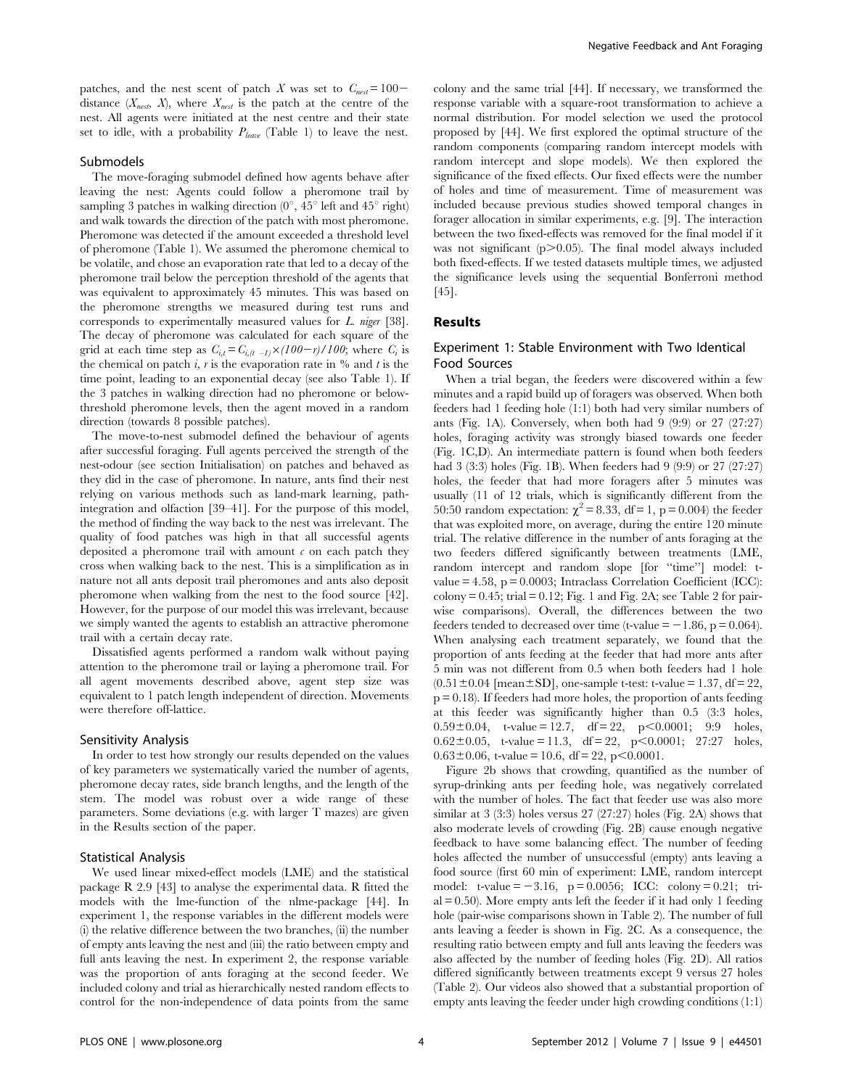patches, and the nest scent of patch X was set to  $C_{nest}= 100$ distance  $(X_{nest}, X)$ , where  $X_{nest}$  is the patch at the centre of the nest. All agents were initiated at the nest centre and their state set to idle, with a probability  $P_{leave}$  (Table 1) to leave the nest.

#### Submodels

The move-foraging submodel defined how agents behave after leaving the nest: Agents could follow a pheromone trail by sampling 3 patches in walking direction  $(0^{\circ}, 45^{\circ})$  left and  $45^{\circ}$  right) and walk towards the direction of the patch with most pheromone. Pheromone was detected if the amount exceeded a threshold level of pheromone (Table 1). We assumed the pheromone chemical to be volatile, and chose an evaporation rate that led to a decay of the pheromone trail below the perception threshold of the agents that was equivalent to approximately 45 minutes. This was based on the pheromone strengths we measured during test runs and corresponds to experimentally measured values for L. niger [38]. The decay of pheromone was calculated for each square of the grid at each time step as  $C_{i,t} = C_{i,(t - 1)} \times (100 - r)/100$ ; where  $C_i$  is the chemical on patch i, r is the evaporation rate in  $\%$  and t is the time point, leading to an exponential decay (see also Table 1). If the 3 patches in walking direction had no pheromone or belowthreshold pheromone levels, then the agent moved in a random direction (towards 8 possible patches).

The move-to-nest submodel defined the behaviour of agents after successful foraging. Full agents perceived the strength of the nest-odour (see section Initialisation) on patches and behaved as they did in the case of pheromone. In nature, ants find their nest relying on various methods such as land-mark learning, pathintegration and olfaction [39–41]. For the purpose of this model, the method of finding the way back to the nest was irrelevant. The quality of food patches was high in that all successful agents deposited a pheromone trail with amount  $\epsilon$  on each patch they cross when walking back to the nest. This is a simplification as in nature not all ants deposit trail pheromones and ants also deposit pheromone when walking from the nest to the food source [42]. However, for the purpose of our model this was irrelevant, because we simply wanted the agents to establish an attractive pheromone trail with a certain decay rate.

Dissatisfied agents performed a random walk without paying attention to the pheromone trail or laying a pheromone trail. For all agent movements described above, agent step size was equivalent to 1 patch length independent of direction. Movements were therefore off-lattice.

#### Sensitivity Analysis

In order to test how strongly our results depended on the values of key parameters we systematically varied the number of agents, pheromone decay rates, side branch lengths, and the length of the stem. The model was robust over a wide range of these parameters. Some deviations (e.g. with larger T mazes) are given in the Results section of the paper.

#### Statistical Analysis

We used linear mixed-effect models (LME) and the statistical package R 2.9 [43] to analyse the experimental data. R fitted the models with the lme-function of the nlme-package [44]. In experiment 1, the response variables in the different models were (i) the relative difference between the two branches, (ii) the number of empty ants leaving the nest and (iii) the ratio between empty and full ants leaving the nest. In experiment 2, the response variable was the proportion of ants foraging at the second feeder. We included colony and trial as hierarchically nested random effects to control for the non-independence of data points from the same

colony and the same trial [44]. If necessary, we transformed the response variable with a square-root transformation to achieve a normal distribution. For model selection we used the protocol proposed by [44]. We first explored the optimal structure of the random components (comparing random intercept models with random intercept and slope models). We then explored the significance of the fixed effects. Our fixed effects were the number of holes and time of measurement. Time of measurement was included because previous studies showed temporal changes in forager allocation in similar experiments, e.g. [9]. The interaction between the two fixed-effects was removed for the final model if it was not significant  $(p>0.05)$ . The final model always included both fixed-effects. If we tested datasets multiple times, we adjusted the significance levels using the sequential Bonferroni method [45].

# Results

#### Experiment 1: Stable Environment with Two Identical Food Sources

When a trial began, the feeders were discovered within a few minutes and a rapid build up of foragers was observed. When both feeders had 1 feeding hole (1:1) both had very similar numbers of ants (Fig. 1A). Conversely, when both had 9 (9:9) or 27 (27:27) holes, foraging activity was strongly biased towards one feeder (Fig. 1C,D). An intermediate pattern is found when both feeders had 3 (3:3) holes (Fig. 1B). When feeders had 9 (9:9) or 27 (27:27) holes, the feeder that had more foragers after 5 minutes was usually (11 of 12 trials, which is significantly different from the 50:50 random expectation:  $\chi^2 = 8.33$ , df = 1, p = 0.004) the feeder that was exploited more, on average, during the entire 120 minute trial. The relative difference in the number of ants foraging at the two feeders differed significantly between treatments (LME, random intercept and random slope [for "time"] model: tvalue  $= 4.58$ ,  $p = 0.0003$ ; Intraclass Correlation Coefficient (ICC):  $\text{colony} = 0.45$ ; trial = 0.12; Fig. 1 and Fig. 2A; see Table 2 for pairwise comparisons). Overall, the differences between the two feeders tended to decreased over time (t-value  $= -1.86$ , p  $= 0.064$ ). When analysing each treatment separately, we found that the proportion of ants feeding at the feeder that had more ants after 5 min was not different from 0.5 when both feeders had 1 hole  $(0.51 \pm 0.04$  [mean $\pm$ SD], one-sample t-test: t-value = 1.37, df = 22,  $p = 0.18$ ). If feeders had more holes, the proportion of ants feeding at this feeder was significantly higher than 0.5 (3:3 holes,  $0.59\pm0.04$ , t-value = 12.7, df = 22, p<0.0001; 9:9 holes,  $0.62 \pm 0.05$ , t-value = 11.3, df = 22, p<0.0001; 27:27 holes,  $0.63\pm0.06$ , t-value = 10.6, df = 22, p < 0.0001.

Figure 2b shows that crowding, quantified as the number of syrup-drinking ants per feeding hole, was negatively correlated with the number of holes. The fact that feeder use was also more similar at 3 (3:3) holes versus 27 (27:27) holes (Fig. 2A) shows that also moderate levels of crowding (Fig. 2B) cause enough negative feedback to have some balancing effect. The number of feeding holes affected the number of unsuccessful (empty) ants leaving a food source (first 60 min of experiment: LME, random intercept model: t-value  $= -3.16$ ,  $p = 0.0056$ ; ICC: colony  $= 0.21$ ; tri $al = 0.50$ ). More empty ants left the feeder if it had only 1 feeding hole (pair-wise comparisons shown in Table 2). The number of full ants leaving a feeder is shown in Fig. 2C. As a consequence, the resulting ratio between empty and full ants leaving the feeders was also affected by the number of feeding holes (Fig. 2D). All ratios differed significantly between treatments except 9 versus 27 holes (Table 2). Our videos also showed that a substantial proportion of empty ants leaving the feeder under high crowding conditions (1:1)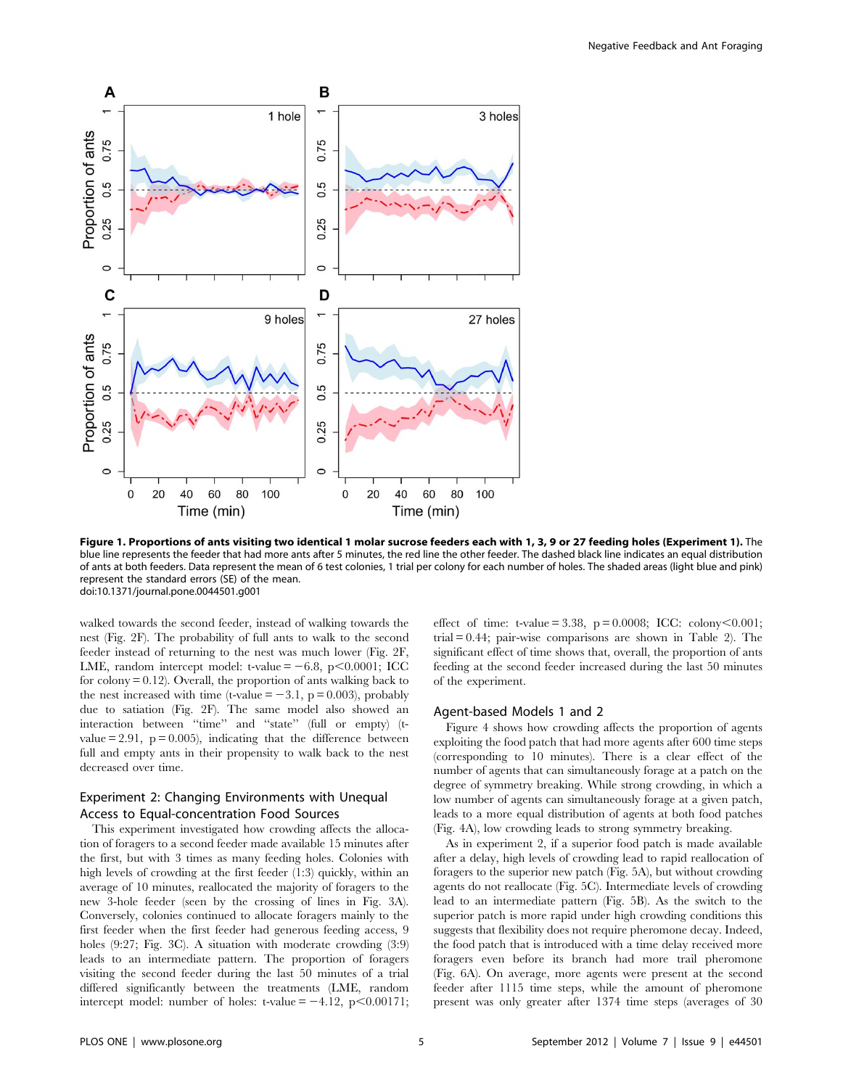

Figure 1. Proportions of ants visiting two identical 1 molar sucrose feeders each with 1, 3, 9 or 27 feeding holes (Experiment 1). The blue line represents the feeder that had more ants after 5 minutes, the red line the other feeder. The dashed black line indicates an equal distribution of ants at both feeders. Data represent the mean of 6 test colonies, 1 trial per colony for each number of holes. The shaded areas (light blue and pink) represent the standard errors (SE) of the mean. doi:10.1371/journal.pone.0044501.g001

walked towards the second feeder, instead of walking towards the nest (Fig. 2F). The probability of full ants to walk to the second feeder instead of returning to the nest was much lower (Fig. 2F, LME, random intercept model: t-value  $= -6.8$ , p $< 0.0001$ ; ICC for  $\text{colony} = 0.12$ ). Overall, the proportion of ants walking back to the nest increased with time (t-value  $= -3.1$ , p = 0.003), probably due to satiation (Fig. 2F). The same model also showed an interaction between ''time'' and ''state'' (full or empty) (tvalue  $= 2.91$ ,  $p = 0.005$ ), indicating that the difference between full and empty ants in their propensity to walk back to the nest decreased over time.

# Experiment 2: Changing Environments with Unequal Access to Equal-concentration Food Sources

This experiment investigated how crowding affects the allocation of foragers to a second feeder made available 15 minutes after the first, but with 3 times as many feeding holes. Colonies with high levels of crowding at the first feeder (1:3) quickly, within an average of 10 minutes, reallocated the majority of foragers to the new 3-hole feeder (seen by the crossing of lines in Fig. 3A). Conversely, colonies continued to allocate foragers mainly to the first feeder when the first feeder had generous feeding access, 9 holes (9:27; Fig. 3C). A situation with moderate crowding (3:9) leads to an intermediate pattern. The proportion of foragers visiting the second feeder during the last 50 minutes of a trial differed significantly between the treatments (LME, random intercept model: number of holes: t-value  $= -4.12$ , p $< 0.00171$ ; effect of time: t-value = 3.38,  $p = 0.0008$ ; ICC: colony<0.001; trial  $= 0.44$ ; pair-wise comparisons are shown in Table 2). The significant effect of time shows that, overall, the proportion of ants feeding at the second feeder increased during the last 50 minutes of the experiment.

# Agent-based Models 1 and 2

Figure 4 shows how crowding affects the proportion of agents exploiting the food patch that had more agents after 600 time steps (corresponding to 10 minutes). There is a clear effect of the number of agents that can simultaneously forage at a patch on the degree of symmetry breaking. While strong crowding, in which a low number of agents can simultaneously forage at a given patch, leads to a more equal distribution of agents at both food patches (Fig. 4A), low crowding leads to strong symmetry breaking.

As in experiment 2, if a superior food patch is made available after a delay, high levels of crowding lead to rapid reallocation of foragers to the superior new patch (Fig. 5A), but without crowding agents do not reallocate (Fig. 5C). Intermediate levels of crowding lead to an intermediate pattern (Fig. 5B). As the switch to the superior patch is more rapid under high crowding conditions this suggests that flexibility does not require pheromone decay. Indeed, the food patch that is introduced with a time delay received more foragers even before its branch had more trail pheromone (Fig. 6A). On average, more agents were present at the second feeder after 1115 time steps, while the amount of pheromone present was only greater after 1374 time steps (averages of 30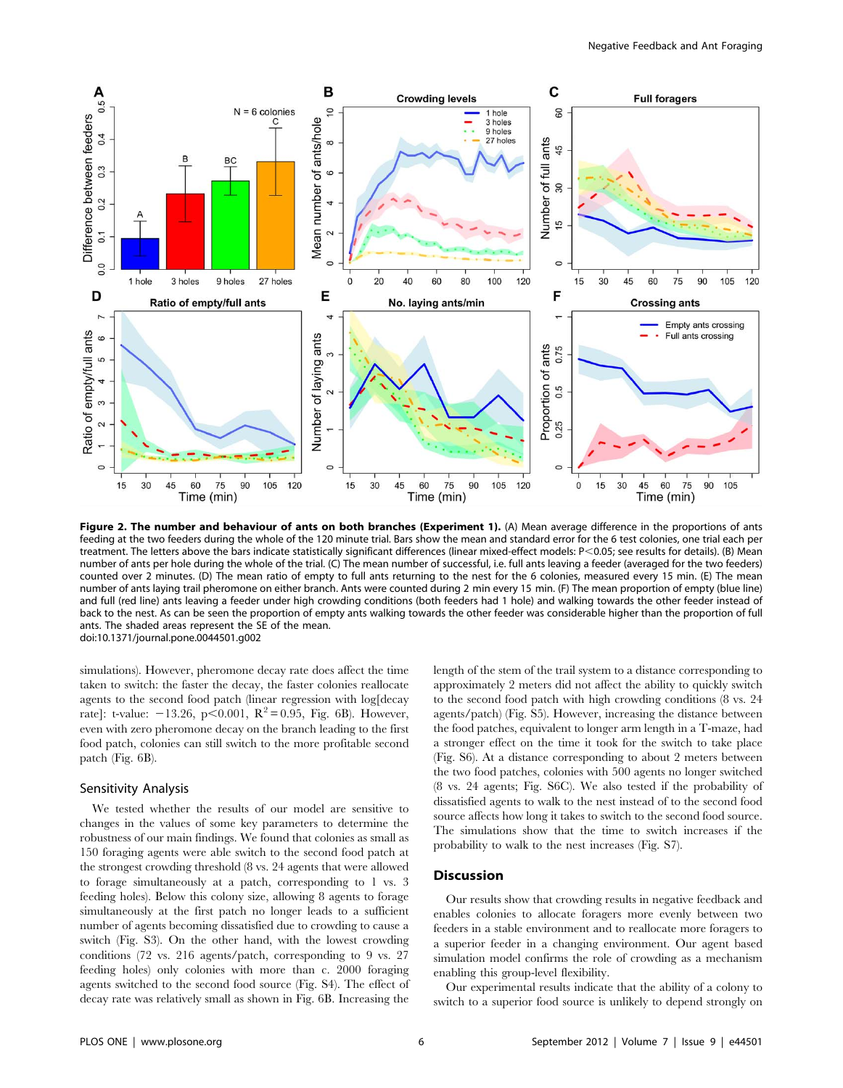

Figure 2. The number and behaviour of ants on both branches (Experiment 1). (A) Mean average difference in the proportions of ants feeding at the two feeders during the whole of the 120 minute trial. Bars show the mean and standard error for the 6 test colonies, one trial each per treatment. The letters above the bars indicate statistically significant differences (linear mixed-effect models: P<0.05; see results for details). (B) Mean number of ants per hole during the whole of the trial. (C) The mean number of successful, i.e. full ants leaving a feeder (averaged for the two feeders) counted over 2 minutes. (D) The mean ratio of empty to full ants returning to the nest for the 6 colonies, measured every 15 min. (E) The mean number of ants laying trail pheromone on either branch. Ants were counted during 2 min every 15 min. (F) The mean proportion of empty (blue line) and full (red line) ants leaving a feeder under high crowding conditions (both feeders had 1 hole) and walking towards the other feeder instead of back to the nest. As can be seen the proportion of empty ants walking towards the other feeder was considerable higher than the proportion of full ants. The shaded areas represent the SE of the mean. doi:10.1371/journal.pone.0044501.g002

simulations). However, pheromone decay rate does affect the time taken to switch: the faster the decay, the faster colonies reallocate agents to the second food patch (linear regression with log[decay rate]: t-value:  $-13.26$ , p $< 0.001$ ,  $R^2 = 0.95$ , Fig. 6B). However, even with zero pheromone decay on the branch leading to the first food patch, colonies can still switch to the more profitable second patch (Fig. 6B).

#### Sensitivity Analysis

We tested whether the results of our model are sensitive to changes in the values of some key parameters to determine the robustness of our main findings. We found that colonies as small as 150 foraging agents were able switch to the second food patch at the strongest crowding threshold (8 vs. 24 agents that were allowed to forage simultaneously at a patch, corresponding to 1 vs. 3 feeding holes). Below this colony size, allowing 8 agents to forage simultaneously at the first patch no longer leads to a sufficient number of agents becoming dissatisfied due to crowding to cause a switch (Fig. S3). On the other hand, with the lowest crowding conditions (72 vs. 216 agents/patch, corresponding to 9 vs. 27 feeding holes) only colonies with more than c. 2000 foraging agents switched to the second food source (Fig. S4). The effect of decay rate was relatively small as shown in Fig. 6B. Increasing the length of the stem of the trail system to a distance corresponding to approximately 2 meters did not affect the ability to quickly switch to the second food patch with high crowding conditions (8 vs. 24 agents/patch) (Fig. S5). However, increasing the distance between the food patches, equivalent to longer arm length in a T-maze, had a stronger effect on the time it took for the switch to take place (Fig. S6). At a distance corresponding to about 2 meters between the two food patches, colonies with 500 agents no longer switched (8 vs. 24 agents; Fig. S6C). We also tested if the probability of dissatisfied agents to walk to the nest instead of to the second food source affects how long it takes to switch to the second food source. The simulations show that the time to switch increases if the probability to walk to the nest increases (Fig. S7).

# **Discussion**

Our results show that crowding results in negative feedback and enables colonies to allocate foragers more evenly between two feeders in a stable environment and to reallocate more foragers to a superior feeder in a changing environment. Our agent based simulation model confirms the role of crowding as a mechanism enabling this group-level flexibility.

Our experimental results indicate that the ability of a colony to switch to a superior food source is unlikely to depend strongly on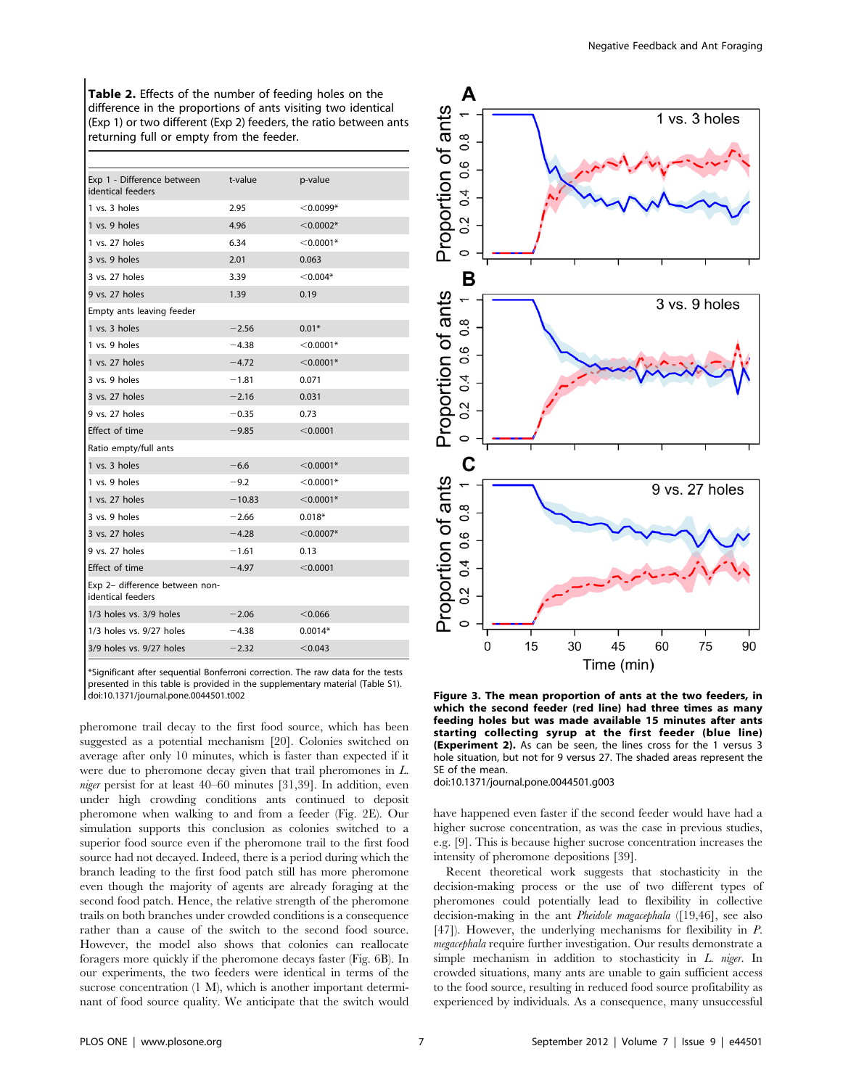Table 2. Effects of the number of feeding holes on the difference in the proportions of ants visiting two identical (Exp 1) or two different (Exp 2) feeders, the ratio between ants returning full or empty from the feeder.

| Exp 1 - Difference between<br>identical feeders     | t-value  | p-value     |
|-----------------------------------------------------|----------|-------------|
| 1 vs. 3 holes                                       | 2.95     | $<$ 0.0099* |
| 1 vs. 9 holes                                       | 4.96     | $<$ 0.0002* |
| 1 vs. 27 holes                                      | 6.34     | $<$ 0.0001* |
| 3 vs. 9 holes                                       | 2.01     | 0.063       |
| 3 vs. 27 holes                                      | 3.39     | $<$ 0.004*  |
| 9 vs. 27 holes                                      | 1.39     | 0.19        |
| Empty ants leaving feeder                           |          |             |
| 1 vs. 3 holes                                       | $-2.56$  | $0.01*$     |
| 1 vs. 9 holes                                       | $-4.38$  | $<$ 0.0001* |
| 1 vs. 27 holes                                      | $-4.72$  | $<$ 0.0001* |
| 3 vs. 9 holes                                       | $-1.81$  | 0.071       |
| 3 vs. 27 holes                                      | $-2.16$  | 0.031       |
| 9 vs. 27 holes                                      | $-0.35$  | 0.73        |
| Effect of time                                      | $-9.85$  | < 0.0001    |
| Ratio empty/full ants                               |          |             |
| 1 vs. 3 holes                                       | $-6.6$   | $<$ 0.0001* |
| 1 vs. 9 holes                                       | $-9.2$   | $<$ 0.0001* |
| 1 vs. 27 holes                                      | $-10.83$ | $<$ 0.0001* |
| 3 vs. 9 holes                                       | $-2.66$  | $0.018*$    |
| 3 vs. 27 holes                                      | $-4.28$  | $<$ 0.0007* |
| 9 vs. 27 holes                                      | $-1.61$  | 0.13        |
| Effect of time                                      | $-4.97$  | < 0.0001    |
| Exp 2- difference between non-<br>identical feeders |          |             |
| 1/3 holes vs. 3/9 holes                             | $-2.06$  | < 0.066     |
| 1/3 holes vs. 9/27 holes                            | $-4.38$  | $0.0014*$   |
| 3/9 holes vs. 9/27 holes                            | $-2.32$  | < 0.043     |

\*Significant after sequential Bonferroni correction. The raw data for the tests presented in this table is provided in the supplementary material (Table S1).<br>doi:10.1371/journal.pone.0044501.t002

pheromone trail decay to the first food source, which has been suggested as a potential mechanism [20]. Colonies switched on average after only 10 minutes, which is faster than expected if it were due to pheromone decay given that trail pheromones in L. niger persist for at least 40–60 minutes [31,39]. In addition, even under high crowding conditions ants continued to deposit pheromone when walking to and from a feeder (Fig. 2E). Our simulation supports this conclusion as colonies switched to a superior food source even if the pheromone trail to the first food source had not decayed. Indeed, there is a period during which the branch leading to the first food patch still has more pheromone even though the majority of agents are already foraging at the second food patch. Hence, the relative strength of the pheromone trails on both branches under crowded conditions is a consequence rather than a cause of the switch to the second food source. However, the model also shows that colonies can reallocate foragers more quickly if the pheromone decays faster (Fig. 6B). In our experiments, the two feeders were identical in terms of the sucrose concentration (1 M), which is another important determinant of food source quality. We anticipate that the switch would



Figure 3. The mean proportion of ants at the two feeders, in which the second feeder (red line) had three times as many feeding holes but was made available 15 minutes after ants starting collecting syrup at the first feeder (blue line) (Experiment 2). As can be seen, the lines cross for the 1 versus 3 hole situation, but not for 9 versus 27. The shaded areas represent the SE of the mean.

doi:10.1371/journal.pone.0044501.g003

have happened even faster if the second feeder would have had a higher sucrose concentration, as was the case in previous studies, e.g. [9]. This is because higher sucrose concentration increases the intensity of pheromone depositions [39].

Recent theoretical work suggests that stochasticity in the decision-making process or the use of two different types of pheromones could potentially lead to flexibility in collective decision-making in the ant *Pheidole magacephala* ([19,46], see also [47]). However, the underlying mechanisms for flexibility in P. megacephala require further investigation. Our results demonstrate a simple mechanism in addition to stochasticity in L. niger. In crowded situations, many ants are unable to gain sufficient access to the food source, resulting in reduced food source profitability as experienced by individuals. As a consequence, many unsuccessful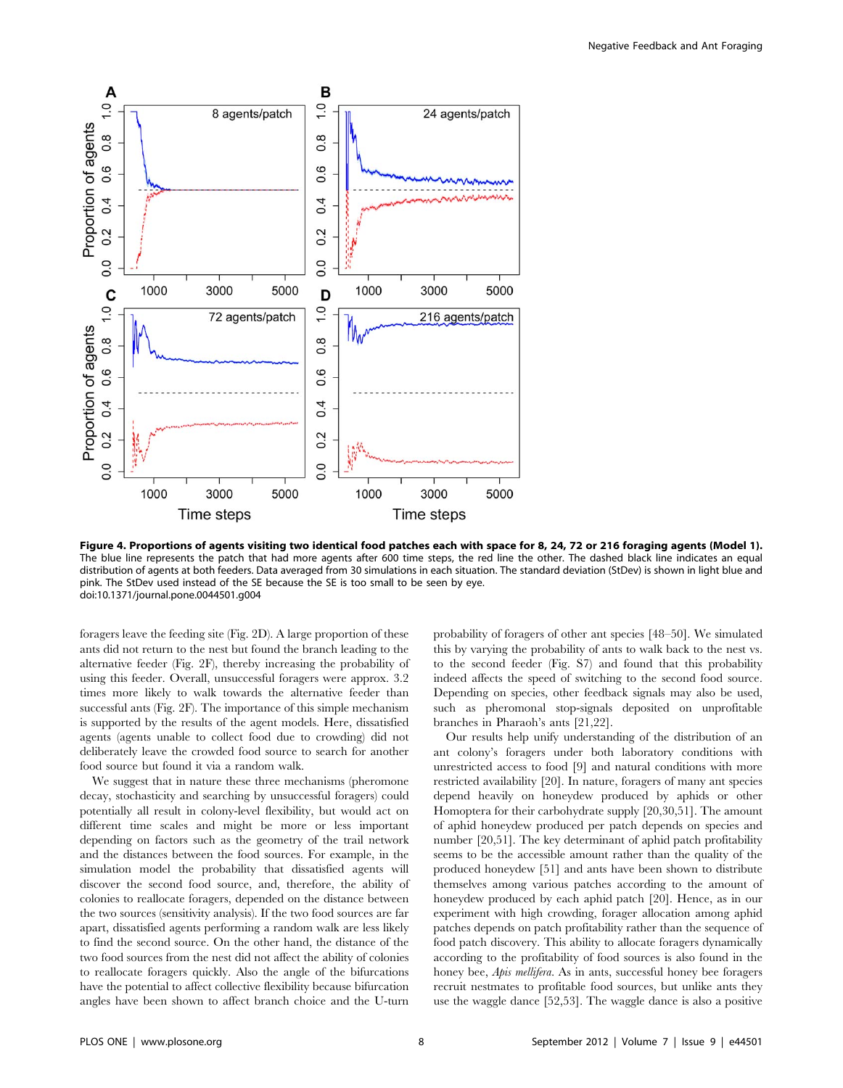

Figure 4. Proportions of agents visiting two identical food patches each with space for 8, 24, 72 or 216 foraging agents (Model 1). The blue line represents the patch that had more agents after 600 time steps, the red line the other. The dashed black line indicates an equal distribution of agents at both feeders. Data averaged from 30 simulations in each situation. The standard deviation (StDev) is shown in light blue and pink. The StDev used instead of the SE because the SE is too small to be seen by eye. doi:10.1371/journal.pone.0044501.g004

foragers leave the feeding site (Fig. 2D). A large proportion of these ants did not return to the nest but found the branch leading to the alternative feeder (Fig. 2F), thereby increasing the probability of using this feeder. Overall, unsuccessful foragers were approx. 3.2 times more likely to walk towards the alternative feeder than successful ants (Fig. 2F). The importance of this simple mechanism is supported by the results of the agent models. Here, dissatisfied agents (agents unable to collect food due to crowding) did not deliberately leave the crowded food source to search for another food source but found it via a random walk.

We suggest that in nature these three mechanisms (pheromone decay, stochasticity and searching by unsuccessful foragers) could potentially all result in colony-level flexibility, but would act on different time scales and might be more or less important depending on factors such as the geometry of the trail network and the distances between the food sources. For example, in the simulation model the probability that dissatisfied agents will discover the second food source, and, therefore, the ability of colonies to reallocate foragers, depended on the distance between the two sources (sensitivity analysis). If the two food sources are far apart, dissatisfied agents performing a random walk are less likely to find the second source. On the other hand, the distance of the two food sources from the nest did not affect the ability of colonies to reallocate foragers quickly. Also the angle of the bifurcations have the potential to affect collective flexibility because bifurcation angles have been shown to affect branch choice and the U-turn probability of foragers of other ant species [48–50]. We simulated this by varying the probability of ants to walk back to the nest vs. to the second feeder (Fig. S7) and found that this probability indeed affects the speed of switching to the second food source. Depending on species, other feedback signals may also be used, such as pheromonal stop-signals deposited on unprofitable branches in Pharaoh's ants [21,22].

Our results help unify understanding of the distribution of an ant colony's foragers under both laboratory conditions with unrestricted access to food [9] and natural conditions with more restricted availability [20]. In nature, foragers of many ant species depend heavily on honeydew produced by aphids or other Homoptera for their carbohydrate supply [20,30,51]. The amount of aphid honeydew produced per patch depends on species and number [20,51]. The key determinant of aphid patch profitability seems to be the accessible amount rather than the quality of the produced honeydew [51] and ants have been shown to distribute themselves among various patches according to the amount of honeydew produced by each aphid patch [20]. Hence, as in our experiment with high crowding, forager allocation among aphid patches depends on patch profitability rather than the sequence of food patch discovery. This ability to allocate foragers dynamically according to the profitability of food sources is also found in the honey bee, *Apis mellifera*. As in ants, successful honey bee foragers recruit nestmates to profitable food sources, but unlike ants they use the waggle dance [52,53]. The waggle dance is also a positive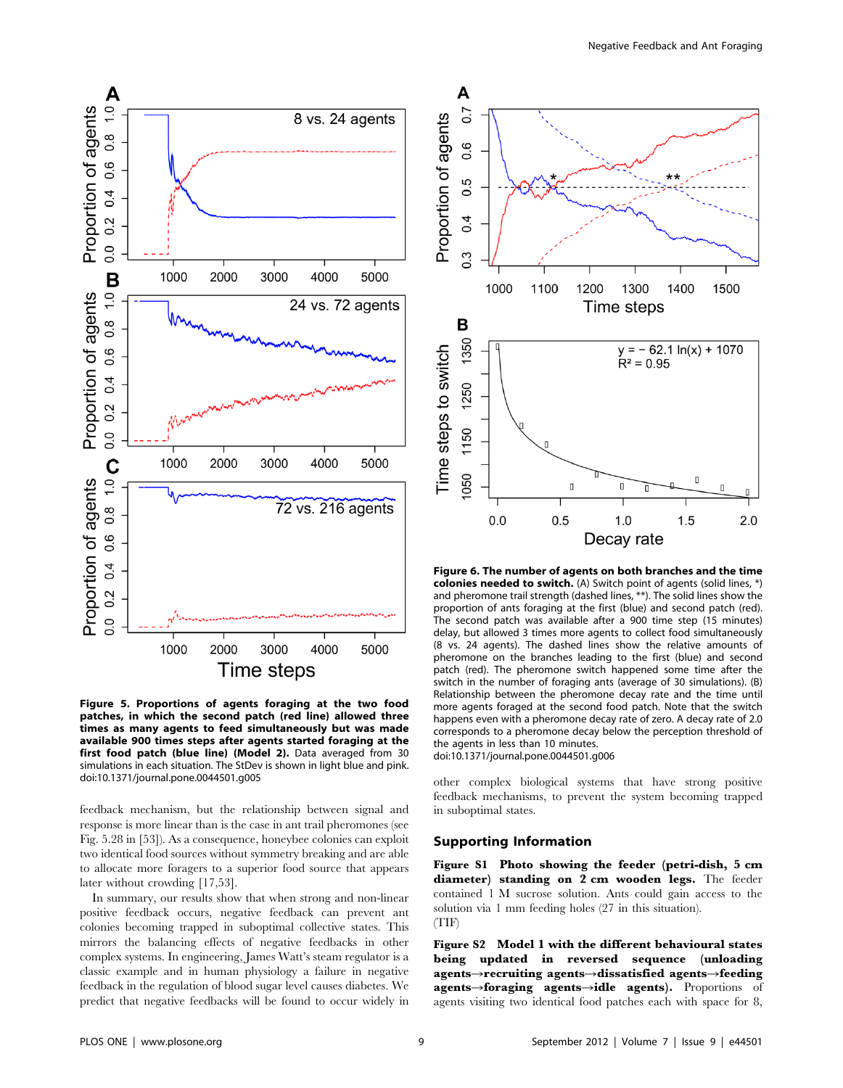

Figure 5. Proportions of agents foraging at the two food patches, in which the second patch (red line) allowed three times as many agents to feed simultaneously but was made available 900 times steps after agents started foraging at the first food patch (blue line) (Model 2). Data averaged from 30 simulations in each situation. The StDev is shown in light blue and pink. doi:10.1371/journal.pone.0044501.g005

feedback mechanism, but the relationship between signal and response is more linear than is the case in ant trail pheromones (see Fig. 5.28 in [53]). As a consequence, honeybee colonies can exploit two identical food sources without symmetry breaking and are able to allocate more foragers to a superior food source that appears later without crowding [17,53].

In summary, our results show that when strong and non-linear positive feedback occurs, negative feedback can prevent ant colonies becoming trapped in suboptimal collective states. This mirrors the balancing effects of negative feedbacks in other complex systems. In engineering, James Watt's steam regulator is a classic example and in human physiology a failure in negative feedback in the regulation of blood sugar level causes diabetes. We predict that negative feedbacks will be found to occur widely in



Figure 6. The number of agents on both branches and the time colonies needed to switch. (A) Switch point of agents (solid lines, \*) and pheromone trail strength (dashed lines, \*\*). The solid lines show the proportion of ants foraging at the first (blue) and second patch (red). The second patch was available after a 900 time step (15 minutes) delay, but allowed 3 times more agents to collect food simultaneously (8 vs. 24 agents). The dashed lines show the relative amounts of pheromone on the branches leading to the first (blue) and second patch (red). The pheromone switch happened some time after the switch in the number of foraging ants (average of 30 simulations). (B) Relationship between the pheromone decay rate and the time until more agents foraged at the second food patch. Note that the switch happens even with a pheromone decay rate of zero. A decay rate of 2.0 corresponds to a pheromone decay below the perception threshold of the agents in less than 10 minutes. doi:10.1371/journal.pone.0044501.g006

other complex biological systems that have strong positive feedback mechanisms, to prevent the system becoming trapped in suboptimal states.

# Supporting Information

Figure S1 Photo showing the feeder (petri-dish, 5 cm diameter) standing on 2 cm wooden legs. The feeder contained 1 M sucrose solution. Ants could gain access to the solution via 1 mm feeding holes (27 in this situation). (TIF)

Figure S2 Model 1 with the different behavioural states being updated in reversed sequence (unloading agents $\rightarrow$ recruiting agents $\rightarrow$ dissatisfied agents $\rightarrow$ feeding agents->foraging agents->idle agents). Proportions of agents visiting two identical food patches each with space for 8,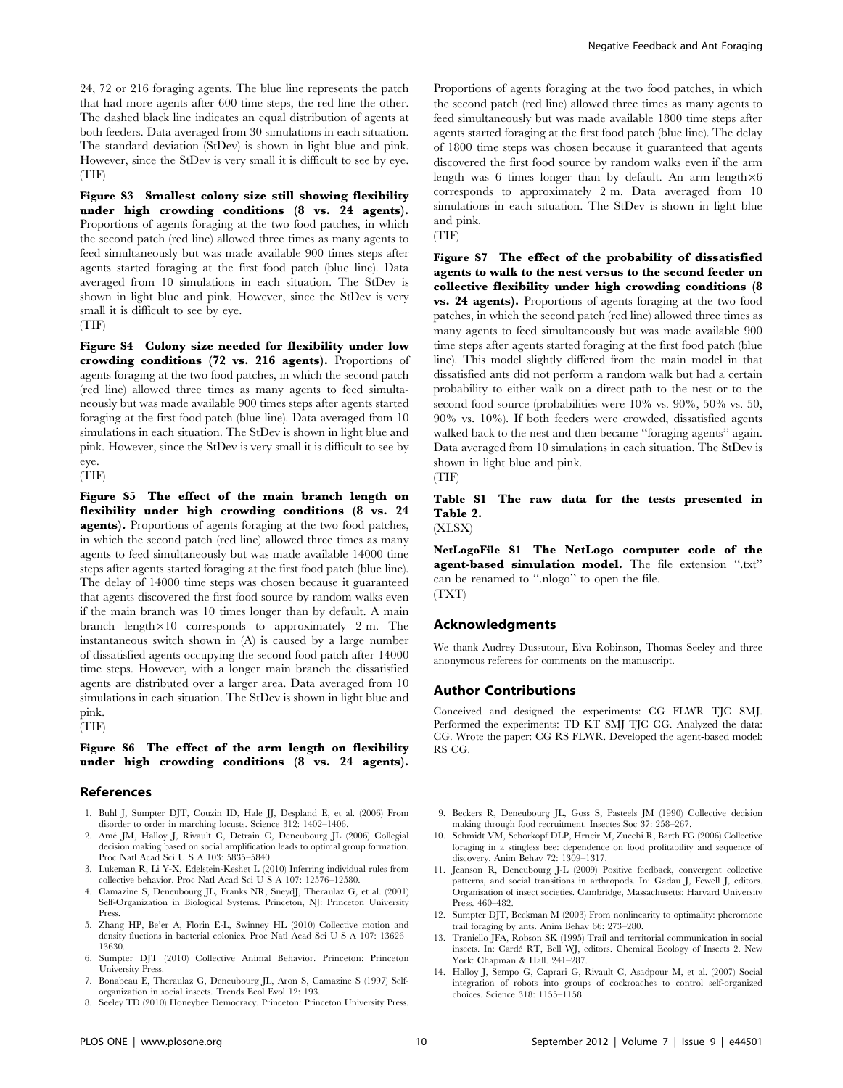24, 72 or 216 foraging agents. The blue line represents the patch that had more agents after 600 time steps, the red line the other. The dashed black line indicates an equal distribution of agents at both feeders. Data averaged from 30 simulations in each situation. The standard deviation (StDev) is shown in light blue and pink. However, since the StDev is very small it is difficult to see by eye. (TIF)

Figure S3 Smallest colony size still showing flexibility under high crowding conditions (8 vs. 24 agents). Proportions of agents foraging at the two food patches, in which the second patch (red line) allowed three times as many agents to feed simultaneously but was made available 900 times steps after agents started foraging at the first food patch (blue line). Data averaged from 10 simulations in each situation. The StDev is shown in light blue and pink. However, since the StDev is very small it is difficult to see by eye.

#### (TIF)

Figure S4 Colony size needed for flexibility under low crowding conditions (72 vs. 216 agents). Proportions of agents foraging at the two food patches, in which the second patch (red line) allowed three times as many agents to feed simultaneously but was made available 900 times steps after agents started foraging at the first food patch (blue line). Data averaged from 10 simulations in each situation. The StDev is shown in light blue and pink. However, since the StDev is very small it is difficult to see by eye.

(TIF)

Figure S5 The effect of the main branch length on flexibility under high crowding conditions (8 vs. 24 agents). Proportions of agents foraging at the two food patches, in which the second patch (red line) allowed three times as many agents to feed simultaneously but was made available 14000 time steps after agents started foraging at the first food patch (blue line). The delay of 14000 time steps was chosen because it guaranteed that agents discovered the first food source by random walks even if the main branch was 10 times longer than by default. A main branch length $\times10$  corresponds to approximately 2 m. The instantaneous switch shown in (A) is caused by a large number of dissatisfied agents occupying the second food patch after 14000 time steps. However, with a longer main branch the dissatisfied agents are distributed over a larger area. Data averaged from 10 simulations in each situation. The StDev is shown in light blue and pink. (TIF)

Figure S6 The effect of the arm length on flexibility under high crowding conditions (8 vs. 24 agents).

# References

- 1. Buhl J, Sumpter DJT, Couzin ID, Hale JJ, Despland E, et al. (2006) From disorder to order in marching locusts. Science 312: 1402–1406.
- 2. Ame´ JM, Halloy J, Rivault C, Detrain C, Deneubourg JL (2006) Collegial decision making based on social amplification leads to optimal group formation. Proc Natl Acad Sci U S A 103: 5835–5840.
- 3. Lukeman R, Li Y-X, Edelstein-Keshet L (2010) Inferring individual rules from collective behavior. Proc Natl Acad Sci U S A 107: 12576–12580.
- 4. Camazine S, Deneubourg JL, Franks NR, SneydJ, Theraulaz G, et al. (2001) Self-Organization in Biological Systems. Princeton, NJ: Princeton University Press.
- 5. Zhang HP, Be'er A, Florin E-L, Swinney HL (2010) Collective motion and density fluctions in bacterial colonies. Proc Natl Acad Sci U S A 107: 13626– 13630.
- 6. Sumpter DJT (2010) Collective Animal Behavior. Princeton: Princeton University Press.
- 7. Bonabeau E, Theraulaz G, Deneubourg JL, Aron S, Camazine S (1997) Selforganization in social insects. Trends Ecol Evol 12: 193.
- 8. Seeley TD (2010) Honeybee Democracy. Princeton: Princeton University Press.

Proportions of agents foraging at the two food patches, in which the second patch (red line) allowed three times as many agents to feed simultaneously but was made available 1800 time steps after agents started foraging at the first food patch (blue line). The delay of 1800 time steps was chosen because it guaranteed that agents discovered the first food source by random walks even if the arm length was 6 times longer than by default. An arm length $\times6$ corresponds to approximately 2 m. Data averaged from 10 simulations in each situation. The StDev is shown in light blue and pink.

(TIF)

Figure S7 The effect of the probability of dissatisfied agents to walk to the nest versus to the second feeder on collective flexibility under high crowding conditions (8 vs. 24 agents). Proportions of agents foraging at the two food patches, in which the second patch (red line) allowed three times as many agents to feed simultaneously but was made available 900 time steps after agents started foraging at the first food patch (blue line). This model slightly differed from the main model in that dissatisfied ants did not perform a random walk but had a certain probability to either walk on a direct path to the nest or to the second food source (probabilities were 10% vs. 90%, 50% vs. 50, 90% vs. 10%). If both feeders were crowded, dissatisfied agents walked back to the nest and then became ''foraging agents'' again. Data averaged from 10 simulations in each situation. The StDev is shown in light blue and pink.

(TIF)

Table S1 The raw data for the tests presented in Table 2. (XLSX)

NetLogoFile S1 The NetLogo computer code of the agent-based simulation model. The file extension ''.txt'' can be renamed to ''.nlogo'' to open the file. (TXT)

#### Acknowledgments

We thank Audrey Dussutour, Elva Robinson, Thomas Seeley and three anonymous referees for comments on the manuscript.

#### Author Contributions

Conceived and designed the experiments: CG FLWR TJC SMJ. Performed the experiments: TD KT SMJ TJC CG. Analyzed the data: CG. Wrote the paper: CG RS FLWR. Developed the agent-based model: RS CG.

- 9. Beckers R, Deneubourg JL, Goss S, Pasteels JM (1990) Collective decision making through food recruitment. Insectes Soc 37: 258–267.
- 10. Schmidt VM, Schorkopf DLP, Hrncir M, Zucchi R, Barth FG (2006) Collective foraging in a stingless bee: dependence on food profitability and sequence of discovery. Anim Behav 72: 1309–1317.
- 11. Jeanson R, Deneubourg J-L (2009) Positive feedback, convergent collective patterns, and social transitions in arthropods. In: Gadau J, Fewell J, editors. Organisation of insect societies. Cambridge, Massachusetts: Harvard University Press. 460–482.
- 12. Sumpter DJT, Beekman M (2003) From nonlinearity to optimality: pheromone trail foraging by ants. Anim Behav 66: 273–280.
- 13. Traniello JFA, Robson SK (1995) Trail and territorial communication in social insects. In: Carde´ RT, Bell WJ, editors. Chemical Ecology of Insects 2. New York: Chapman & Hall. 241–287.
- 14. Halloy J, Sempo G, Caprari G, Rivault C, Asadpour M, et al. (2007) Social integration of robots into groups of cockroaches to control self-organized choices. Science 318: 1155–1158.